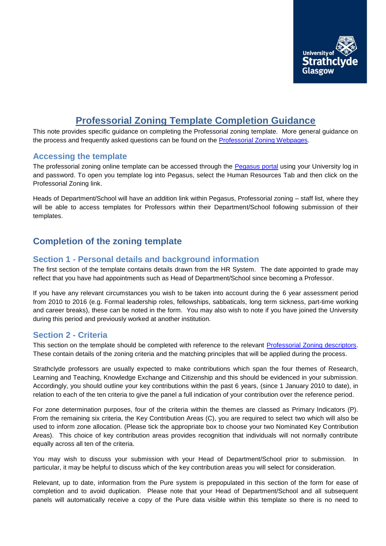

# **Professorial Zoning Template Completion Guidance**

This note provides specific guidance on completing the Professorial zoning template. More general guidance on the process and frequently asked questions can be found on the [Professorial Zoning Webpages.](http://www.strath.ac.uk/hr/careerpathways/professorialzoning/)

#### **Accessing the template**

The professorial zoning online template can be accessed through the [Pegasus portal](https://ben.mis.strath.ac.uk/login/) using your University log in and password. To open you template log into Pegasus, select the Human Resources Tab and then click on the Professorial Zoning link.

Heads of Department/School will have an addition link within Pegasus, Professorial zoning – staff list, where they will be able to access templates for Professors within their Department/School following submission of their templates.

# **Completion of the zoning template**

# **Section 1 - Personal details and background information**

The first section of the template contains details drawn from the HR System.The date appointed to grade may reflect that you have had appointments such as Head of Department/School since becoming a Professor.

If you have any relevant circumstances you wish to be taken into account during the 6 year assessment period from 2010 to 2016 (e.g. Formal leadership roles, fellowships, sabbaticals, long term sickness, part-time working and career breaks), these can be noted in the form. You may also wish to note if you have joined the University during this period and previously worked at another institution.

#### **Section 2 - Criteria**

This section on the template should be completed with reference to the relevant [Professorial Zoning descriptors.](http://www.strath.ac.uk/media/ps/humanresources/careerpathways/Professorial_Zoning_Descriptors.pdf) These contain details of the zoning criteria and the matching principles that will be applied during the process.

Strathclyde professors are usually expected to make contributions which span the four themes of Research, Learning and Teaching, Knowledge Exchange and Citizenship and this should be evidenced in your submission. Accordingly, you should outline your key contributions within the past 6 years, (since 1 January 2010 to date), in relation to each of the ten criteria to give the panel a full indication of your contribution over the reference period.

For zone determination purposes, four of the criteria within the themes are classed as Primary Indicators (P). From the remaining six criteria, the Key Contribution Areas (C), you are required to select two which will also be used to inform zone allocation. (Please tick the appropriate box to choose your two Nominated Key Contribution Areas). This choice of key contribution areas provides recognition that individuals will not normally contribute equally across all ten of the criteria.

You may wish to discuss your submission with your Head of Department/School prior to submission. In particular, it may be helpful to discuss which of the key contribution areas you will select for consideration.

Relevant, up to date, information from the Pure system is prepopulated in this section of the form for ease of completion and to avoid duplication. Please note that your Head of Department/School and all subsequent panels will automatically receive a copy of the Pure data visible within this template so there is no need to